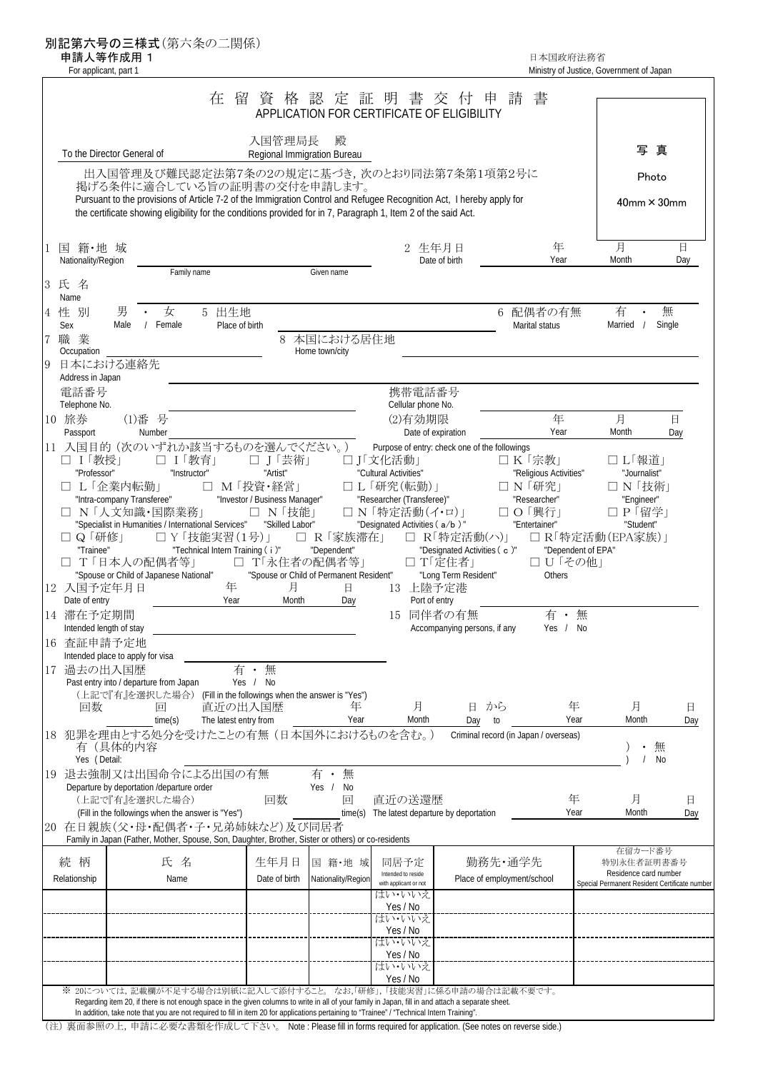別記第六号の三様式(第六条の二関係)

 $\mathbf{r}$ 

中請人等作成用 1 日本国政府法務省 こころには こうしょう しょうしょう しょうしゅつ ロボ しゅうしょう 日本国政府法務省 For applicant, part 1 and 1 ministry of Justice, Government of Japan

|                                                                           |                                                                                                                                                                                                                                                                       | 在<br>留                                            |                          | 資 格 認 定 証 明 書 交 付<br>APPLICATION FOR CERTIFICATE OF ELIGIBILITY          | 甲                                             | 請                                             |                                                |          |
|---------------------------------------------------------------------------|-----------------------------------------------------------------------------------------------------------------------------------------------------------------------------------------------------------------------------------------------------------------------|---------------------------------------------------|--------------------------|--------------------------------------------------------------------------|-----------------------------------------------|-----------------------------------------------|------------------------------------------------|----------|
|                                                                           | To the Director General of                                                                                                                                                                                                                                            | 入国管理局長                                            | 殿                        |                                                                          |                                               |                                               | 写真                                             |          |
| Regional Immigration Bureau<br>出入国管理及び難民認定法第7条の2の規定に基づき,次のとおり同法第7条第1項第2号に |                                                                                                                                                                                                                                                                       |                                                   |                          |                                                                          |                                               | Photo                                         |                                                |          |
|                                                                           | 掲げる条件に適合している旨の証明書の交付を申請します。<br>Pursuant to the provisions of Article 7-2 of the Immigration Control and Refugee Recognition Act, I hereby apply for<br>the certificate showing eligibility for the conditions provided for in 7, Paragraph 1, Item 2 of the said Act. |                                                   |                          |                                                                          |                                               |                                               | $40$ mm $\times$ 30mm                          |          |
| 国 籍・地 域<br>Nationality/Region                                             |                                                                                                                                                                                                                                                                       |                                                   |                          | 2 生年月日                                                                   | Date of birth                                 | 年<br>Year                                     | 月<br>Month                                     | 日<br>Day |
| 3 氏 名                                                                     | Family name                                                                                                                                                                                                                                                           |                                                   | Given name               |                                                                          |                                               |                                               |                                                |          |
| Name<br>性 別                                                               | 男<br>• 女                                                                                                                                                                                                                                                              | 5 出生地                                             |                          |                                                                          |                                               | 6 配偶者の有無                                      | 有                                              | 無        |
| Sex<br>職業                                                                 | Male<br>/ Female                                                                                                                                                                                                                                                      | Place of birth<br>8                               | 本国における居住地                |                                                                          |                                               | Marital status                                | Married /                                      | Single   |
| Occupation                                                                | 日本における連絡先                                                                                                                                                                                                                                                             |                                                   | Home town/city           |                                                                          |                                               |                                               |                                                |          |
| Address in Japan<br>電話番号                                                  |                                                                                                                                                                                                                                                                       |                                                   |                          | 携帯電話番号                                                                   |                                               |                                               |                                                |          |
| Telephone No.<br>10 旅券                                                    | (1)番号                                                                                                                                                                                                                                                                 |                                                   |                          | Cellular phone No.<br>(2)有効期限                                            |                                               | 年                                             | 月                                              | 日        |
| Passport                                                                  | Number<br>11 入国目的 (次のいずれか該当するものを選んでください。)                                                                                                                                                                                                                             |                                                   |                          | Date of expiration                                                       | Purpose of entry: check one of the followings | Year                                          | Month                                          | Day      |
| □ Ⅰ「教授」<br>"Professor"                                                    | □ Ⅰ「教育」<br>"Instructor"                                                                                                                                                                                                                                               | □ J「芸術」<br>"Artist"                               |                          | □」「文化活動」<br>"Cultural Activities"                                        |                                               | □ K「宗教」<br>"Religious Activities"             | □ L「報道」<br>"Journalist"                        |          |
|                                                                           | □ L「企業内転勤」<br>"Intra-company Transferee"                                                                                                                                                                                                                              | □ M「投資·経営」<br>"Investor / Business Manager"       |                          | □ L 「研究(転勤)」<br>"Researcher (Transferee)"                                |                                               | □ N 「研究」<br>"Researcher"                      | □ N「技術」<br>"Engineer"                          |          |
|                                                                           | □ N「人文知識·国際業務」<br>"Specialist in Humanities / International Services" "Skilled Labor"                                                                                                                                                                                 | □ N「技能」                                           |                          | □ N「特定活動(イ・ロ)」<br>"Designated Activities (a/b)"                          |                                               | □ O 「興行」<br>"Entertainer"                     | □ P 「留学」<br>"Student"                          |          |
| □ Q 「研修」<br>"Trainee"                                                     |                                                                                                                                                                                                                                                                       | □ Y 「技能実習(1号)」<br>"Technical Intern Training (i)" | □ R「家族滞在」<br>"Dependent" |                                                                          | □ R「特定活動(ハ)」<br>"Designated Activities (c)"   | "Dependent of EPA"                            | □ R「特定活動(EPA家族)」                               |          |
|                                                                           | □ T「日本人の配偶者等」<br>"Spouse or Child of Japanese National"                                                                                                                                                                                                               | □ T「永住者の配偶者等」                                     |                          | □ T「定住者」<br>"Spouse or Child of Permanent Resident" "Long Term Resident" |                                               | □ U「その他」<br>Others                            |                                                |          |
| 12 入国予定年月日<br>Date of entry                                               |                                                                                                                                                                                                                                                                       | 年<br>月<br>Year<br>Month                           | 日<br>Day                 | 13 上陸予定港<br>Port of entry                                                |                                               |                                               |                                                |          |
| 14 滞在予定期間<br>Intended length of stay                                      |                                                                                                                                                                                                                                                                       |                                                   |                          | 15 同伴者の有無                                                                | Accompanying persons, if any                  | 有·無<br>Yes / No                               |                                                |          |
| 16 查証申請予定地                                                                | Intended place to apply for visa                                                                                                                                                                                                                                      |                                                   |                          |                                                                          |                                               |                                               |                                                |          |
| 17 過去の出入国歴                                                                | Past entry into / departure from Japan                                                                                                                                                                                                                                | 有<br>無<br>$\bullet$<br>Yes / No                   |                          |                                                                          |                                               |                                               |                                                |          |
| 回数                                                                        | (上記で『有』を選択した場合) (Fill in the followings when the answer is "Yes")<br>回                                                                                                                                                                                                | 直近の出入国歴                                           | 年                        | 月                                                                        | から<br>Η.                                      | 年                                             | 月                                              | 日        |
|                                                                           | time(s)<br>18 犯罪を理由とする処分を受けたことの有無(日本国外におけるものを含む。)                                                                                                                                                                                                                     | The latest entry from                             | Year                     | Month                                                                    | Day<br>to                                     | Year<br>Criminal record (in Japan / overseas) | Month                                          | Day      |
| Yes (Detail:                                                              | 有(具体的内容                                                                                                                                                                                                                                                               |                                                   |                          |                                                                          |                                               |                                               | 無<br><b>No</b>                                 |          |
|                                                                           | 19 退去強制又は出国命令による出国の有無<br>Departure by deportation /departure order                                                                                                                                                                                                    |                                                   | 有·無<br>Yes / No          |                                                                          |                                               |                                               |                                                |          |
|                                                                           | (上記で『有』を選択した場合)<br>(Fill in the followings when the answer is "Yes")                                                                                                                                                                                                  | 回数                                                | 回                        | 直近の送還歴<br>time(s) The latest departure by deportation                    |                                               | 年<br>Year                                     | 月<br>Month                                     | 日<br>Day |
|                                                                           | 20 在日親族(父・母・配偶者・子・兄弟姉妹など)及び同居者<br>Family in Japan (Father, Mother, Spouse, Son, Daughter, Brother, Sister or others) or co-residents                                                                                                                                  |                                                   |                          |                                                                          |                                               |                                               |                                                |          |
| 続 柄                                                                       | 氏名                                                                                                                                                                                                                                                                    | 生年月日                                              | 国 籍·地 域                  | 同居予定<br>Intended to reside                                               | 勤務先・通学先                                       |                                               | 在留カード番号<br>特別永住者証明書番号<br>Residence card number |          |
| Relationship                                                              | Name                                                                                                                                                                                                                                                                  | Date of birth                                     | Nationality/Region       | with applicant or not<br>はい・いいえ                                          | Place of employment/school                    |                                               | Special Permanent Resident Certificate number  |          |
|                                                                           |                                                                                                                                                                                                                                                                       |                                                   |                          | Yes / No<br>はい・いいえ                                                       |                                               |                                               |                                                |          |
|                                                                           |                                                                                                                                                                                                                                                                       |                                                   |                          | Yes / No<br>はい・いいえ                                                       |                                               |                                               |                                                |          |
|                                                                           |                                                                                                                                                                                                                                                                       |                                                   |                          | Yes / No<br>はい・いいえ                                                       |                                               |                                               |                                                |          |
|                                                                           | ※ 20については、記載欄が不足する場合は別紙に記入して添付すること。 なお,「研修」,「技能実習」に係る申請の場合は記載不要です。<br>Regarding item 20, if there is not enough space in the given columns to write in all of your family in Japan, fill in and attach a separate sheet.                                              |                                                   |                          | Yes / No                                                                 |                                               |                                               |                                                |          |
|                                                                           | In addition, take note that you are not required to fill in item 20 for applications pertaining to "Trainee" / "Technical Intern Training".                                                                                                                           |                                                   |                          |                                                                          |                                               |                                               |                                                |          |

(注) 裏面参照の上,申請に必要な書類を作成して下さい。 Note : Please fill in forms required for application. (See notes on reverse side.)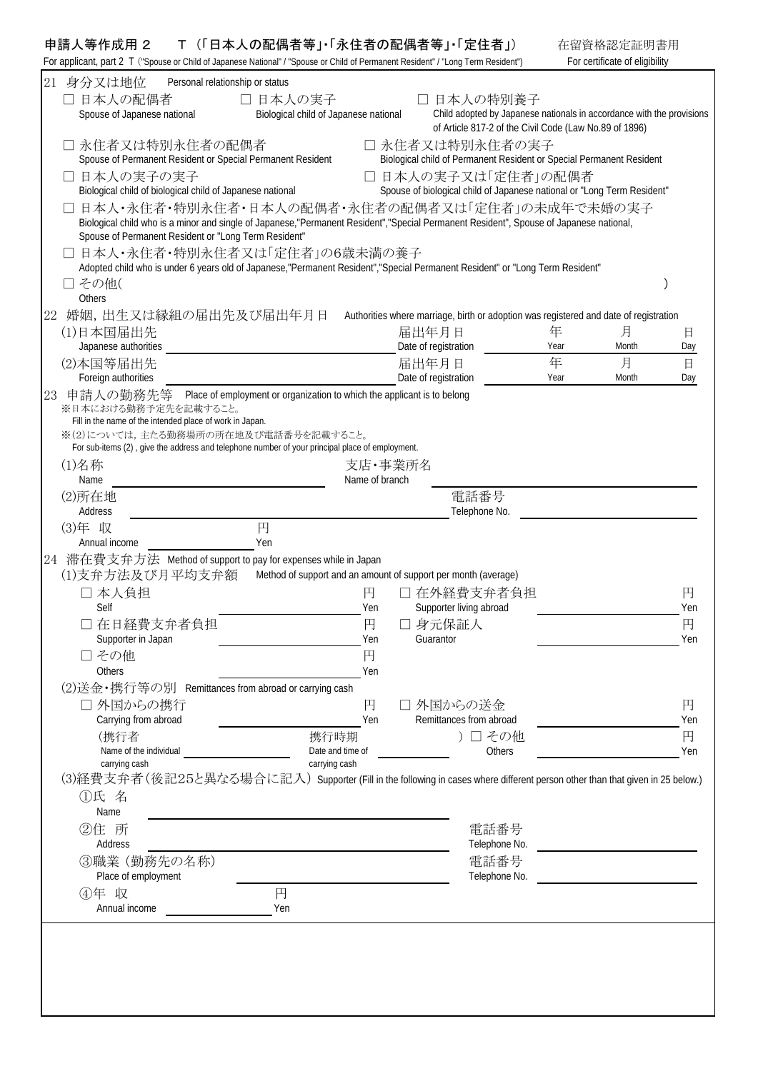## 申請人等作成用 2 T (「日本人の配偶者等」・「永住者の配偶者等」・「定住者」)

| 申請人等作成用 2 | T(「日本人の配偶者等」「永住者の配偶者等」「定住者」)                                                                                                      | 在留資格認定証明書用                     |
|-----------|-----------------------------------------------------------------------------------------------------------------------------------|--------------------------------|
|           | For applicant, part 2   ("Spouse or Child of Japanese National" / "Spouse or Child of Permanent Resident" / "Long Term Resident") | For certificate of eligibility |

|    | 21 身分又は地位<br>Personal relationship or status                                                                                                                                                   |                |                                                                                       |                                                                                                                                 |            |          |
|----|------------------------------------------------------------------------------------------------------------------------------------------------------------------------------------------------|----------------|---------------------------------------------------------------------------------------|---------------------------------------------------------------------------------------------------------------------------------|------------|----------|
|    | □ 日本人の配偶者<br>□ 日本人の実子                                                                                                                                                                          |                | □ 日本人の特別養子                                                                            |                                                                                                                                 |            |          |
|    | Biological child of Japanese national<br>Spouse of Japanese national                                                                                                                           |                |                                                                                       | Child adopted by Japanese nationals in accordance with the provisions<br>of Article 817-2 of the Civil Code (Law No.89 of 1896) |            |          |
|    | □ 永住者又は特別永住者の配偶者                                                                                                                                                                               |                | □ 永住者又は特別永住者の実子                                                                       |                                                                                                                                 |            |          |
|    | Spouse of Permanent Resident or Special Permanent Resident                                                                                                                                     |                | Biological child of Permanent Resident or Special Permanent Resident                  |                                                                                                                                 |            |          |
|    | □ 日本人の実子の実子                                                                                                                                                                                    |                | □ 日本人の実子又は「定住者」の配偶者                                                                   |                                                                                                                                 |            |          |
|    | Biological child of biological child of Japanese national<br>日本人・永住者・特別永住者・日本人の配偶者・永住者の配偶者又は「定住者」の未成年で未婚の実子                                                                                    |                | Spouse of biological child of Japanese national or "Long Term Resident"               |                                                                                                                                 |            |          |
|    | Biological child who is a minor and single of Japanese,"Permanent Resident","Special Permanent Resident", Spouse of Japanese national,<br>Spouse of Permanent Resident or "Long Term Resident" |                |                                                                                       |                                                                                                                                 |            |          |
|    | 日本人・永住者・特別永住者又は「定住者」の6歳未満の養子                                                                                                                                                                   |                |                                                                                       |                                                                                                                                 |            |          |
|    | Adopted child who is under 6 years old of Japanese,"Permanent Resident","Special Permanent Resident" or "Long Term Resident"                                                                   |                |                                                                                       |                                                                                                                                 |            |          |
|    | □ その他(<br>Others                                                                                                                                                                               |                |                                                                                       |                                                                                                                                 |            |          |
| 22 | 婚姻,出生又は縁組の届出先及び届出年月日                                                                                                                                                                           |                | Authorities where marriage, birth or adoption was registered and date of registration |                                                                                                                                 |            |          |
|    | (1)日本国届出先                                                                                                                                                                                      |                | 届出年月日                                                                                 | 年                                                                                                                               | 月          | 日        |
|    | Japanese authorities                                                                                                                                                                           |                | Date of registration                                                                  | Year                                                                                                                            | Month      | Day      |
|    | (2)本国等届出先<br>Foreign authorities                                                                                                                                                               |                | 届出年月日<br>Date of registration                                                         | 年<br>Year                                                                                                                       | 月<br>Month | 日<br>Day |
| 23 | 申請人の勤務先等 Place of employment or organization to which the applicant is to belong                                                                                                               |                |                                                                                       |                                                                                                                                 |            |          |
|    | ※日本における勤務予定先を記載すること。<br>Fill in the name of the intended place of work in Japan.                                                                                                               |                |                                                                                       |                                                                                                                                 |            |          |
|    | ※(2)については、主たる勤務場所の所在地及び電話番号を記載すること。                                                                                                                                                            |                |                                                                                       |                                                                                                                                 |            |          |
|    | For sub-items (2), give the address and telephone number of your principal place of employment.                                                                                                |                |                                                                                       |                                                                                                                                 |            |          |
|    | (1)名称<br>Name                                                                                                                                                                                  | Name of branch | 支店・事業所名                                                                               |                                                                                                                                 |            |          |
|    | (2)所在地                                                                                                                                                                                         |                | 電話番号                                                                                  |                                                                                                                                 |            |          |
|    | Address                                                                                                                                                                                        |                | Telephone No.                                                                         |                                                                                                                                 |            |          |
|    | 円<br>(3)年 収                                                                                                                                                                                    |                |                                                                                       |                                                                                                                                 |            |          |
|    | Yen<br>Annual income<br>24 滞在費支弁方法 Method of support to pay for expenses while in Japan                                                                                                        |                |                                                                                       |                                                                                                                                 |            |          |
|    | (1)支弁方法及び月平均支弁額                                                                                                                                                                                |                | Method of support and an amount of support per month (average)                        |                                                                                                                                 |            |          |
|    | □ 本人負担                                                                                                                                                                                         | 円              | □ 在外経費支弁者負担                                                                           |                                                                                                                                 |            | 円        |
|    | Self                                                                                                                                                                                           | Yen            | Supporter living abroad                                                               |                                                                                                                                 |            | Yen      |
|    | □ 在日経費支弁者負担<br>Supporter in Japan                                                                                                                                                              | 円<br>Yen       | □ 身元保証人<br>Guarantor                                                                  |                                                                                                                                 |            | 円<br>Yen |
|    | □ その他                                                                                                                                                                                          | 円              |                                                                                       |                                                                                                                                 |            |          |
|    | Others                                                                                                                                                                                         | Yen            |                                                                                       |                                                                                                                                 |            |          |
|    | (2)送金・携行等の別 Remittances from abroad or carrying cash                                                                                                                                           |                |                                                                                       |                                                                                                                                 |            |          |
|    | □ 外国からの携行<br>Carrying from abroad                                                                                                                                                              | 円<br>Yen       | □外国からの送金<br>Remittances from abroad                                                   |                                                                                                                                 |            | 円<br>Yen |
|    | (携行者<br>携行時期                                                                                                                                                                                   |                |                                                                                       | ) 口 その他                                                                                                                         |            | 円        |
|    | Name of the individual<br>Date and time of                                                                                                                                                     |                |                                                                                       | <b>Others</b>                                                                                                                   |            | Yen      |
|    | carrying cash<br>carrying cash<br>(3)経費支弁者 (後記25と異なる場合に記入) Supporter (Fill in the following in cases where different person other than that given in 25 below.)                                |                |                                                                                       |                                                                                                                                 |            |          |
|    | ①氏 名                                                                                                                                                                                           |                |                                                                                       |                                                                                                                                 |            |          |
|    | Name                                                                                                                                                                                           |                |                                                                                       |                                                                                                                                 |            |          |
|    | ②住 所                                                                                                                                                                                           |                |                                                                                       | 電話番号                                                                                                                            |            |          |
|    | Address                                                                                                                                                                                        |                |                                                                                       | Telephone No.                                                                                                                   |            |          |
|    | 3職業 (勤務先の名称)<br>Place of employment                                                                                                                                                            |                |                                                                                       | 電話番号<br>Telephone No.                                                                                                           |            |          |
|    | 4年 収<br>円                                                                                                                                                                                      |                |                                                                                       |                                                                                                                                 |            |          |
|    | Annual income<br>Yen                                                                                                                                                                           |                |                                                                                       |                                                                                                                                 |            |          |
|    |                                                                                                                                                                                                |                |                                                                                       |                                                                                                                                 |            |          |
|    |                                                                                                                                                                                                |                |                                                                                       |                                                                                                                                 |            |          |
|    |                                                                                                                                                                                                |                |                                                                                       |                                                                                                                                 |            |          |
|    |                                                                                                                                                                                                |                |                                                                                       |                                                                                                                                 |            |          |
|    |                                                                                                                                                                                                |                |                                                                                       |                                                                                                                                 |            |          |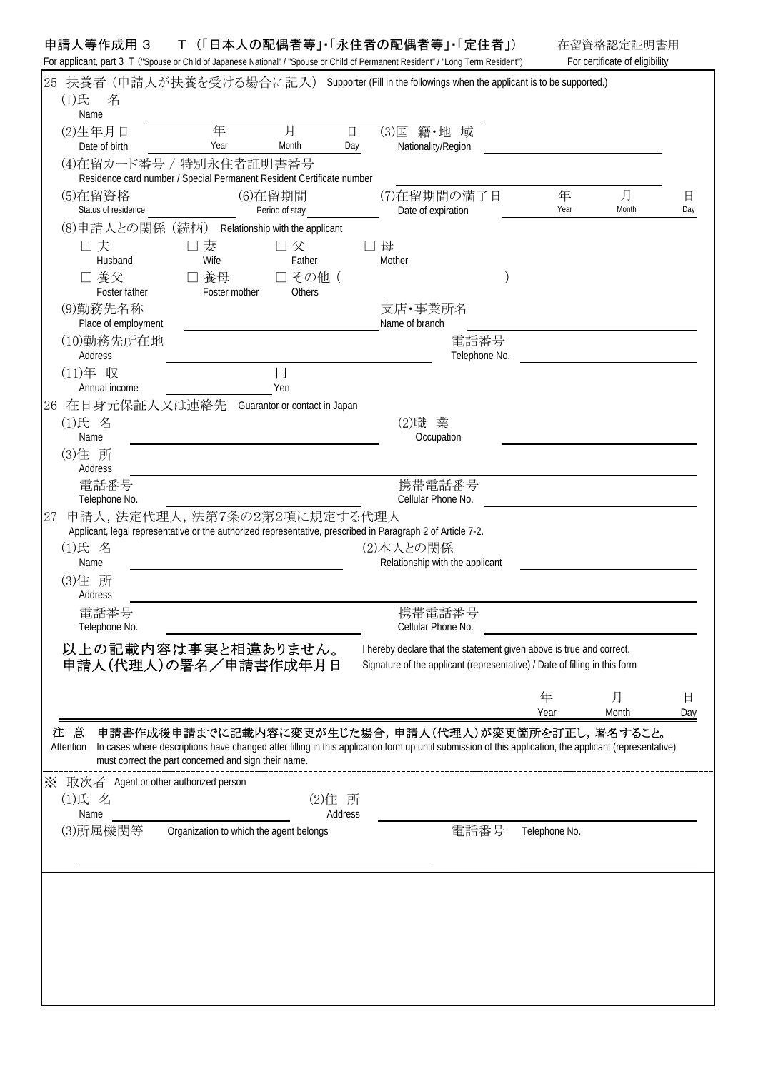## 申請人等作成用 3 T (「日本人の配偶者等」・「永住者の配偶者等」・「定住者」) 在留資格認定証明書用

For applicant, part 3 T ("Spouse or Child of Japanese National" / "Spouse or Child of Permanent Resident" / "Long Term Resident") For certificate of eligibility

| 25 | $(1)$ 氏<br>名                                     |                                                                                                  |                                 |                    | 扶養者 (申請人が扶養を受ける場合に記入) Supporter (Fill in the followings when the applicant is to be supported.)                                                                                                               |               |            |          |
|----|--------------------------------------------------|--------------------------------------------------------------------------------------------------|---------------------------------|--------------------|---------------------------------------------------------------------------------------------------------------------------------------------------------------------------------------------------------------|---------------|------------|----------|
|    | Name<br>(2)生年月日<br>Date of birth                 | 年<br>Year                                                                                        | 月<br>Month                      | $\boxminus$<br>Day | (3)国 籍·地 域<br>Nationality/Region                                                                                                                                                                              |               |            |          |
|    |                                                  | (4)在留カード番号 / 特別永住者証明書番号<br>Residence card number / Special Permanent Resident Certificate number |                                 |                    |                                                                                                                                                                                                               |               |            |          |
|    | (5)在留資格<br>Status of residence                   |                                                                                                  | (6)在留期間<br>Period of stay       |                    | (7)在留期間の満了日<br>Date of expiration                                                                                                                                                                             | 年<br>Year     | 月<br>Month | 日<br>Day |
|    | (8)申請人との関係 (続柄)                                  |                                                                                                  | Relationship with the applicant |                    | 口母                                                                                                                                                                                                            |               |            |          |
|    | 口夫<br>Husband                                    | 口妻<br>Wife                                                                                       | 口父<br>Father                    |                    | Mother                                                                                                                                                                                                        |               |            |          |
|    | □ 養父<br>Foster father                            | □ 養母<br>Foster mother                                                                            | □ その他 (<br><b>Others</b>        |                    |                                                                                                                                                                                                               |               |            |          |
|    | (9)勤務先名称<br>Place of employment                  |                                                                                                  |                                 |                    | 支店·事業所名<br>Name of branch                                                                                                                                                                                     |               |            |          |
|    | (10)勤務先所在地<br>Address                            |                                                                                                  |                                 |                    | 電話番号<br>Telephone No.                                                                                                                                                                                         |               |            |          |
|    | (11)年 収<br>Annual income                         |                                                                                                  | 円<br>Yen                        |                    |                                                                                                                                                                                                               |               |            |          |
|    | 26 在日身元保証人又は連絡先                                  |                                                                                                  | Guarantor or contact in Japan   |                    |                                                                                                                                                                                                               |               |            |          |
|    | (1)氏 名<br>Name                                   |                                                                                                  |                                 |                    | (2)職業<br>Occupation                                                                                                                                                                                           |               |            |          |
|    | (3)住 所<br>Address                                |                                                                                                  |                                 |                    |                                                                                                                                                                                                               |               |            |          |
|    | 電話番号<br>Telephone No.                            |                                                                                                  |                                 |                    | 携帯電話番号<br>Cellular Phone No.                                                                                                                                                                                  |               |            |          |
| 27 |                                                  | 申請人, 法定代理人, 法第7条の2第2項に規定する代理人                                                                    |                                 |                    |                                                                                                                                                                                                               |               |            |          |
|    | (1)氏 名<br>Name                                   |                                                                                                  |                                 |                    | Applicant, legal representative or the authorized representative, prescribed in Paragraph 2 of Article 7-2.<br>(2)本人との関係<br>Relationship with the applicant                                                   |               |            |          |
|    | (3)住 所<br>Address                                |                                                                                                  |                                 |                    |                                                                                                                                                                                                               |               |            |          |
|    | 電話番号<br>Telephone No.                            |                                                                                                  |                                 |                    | 携帯電話番号<br>Cellular Phone No.                                                                                                                                                                                  |               |            |          |
|    |                                                  | 以上の記載内容は事実と相違ありません。<br>申請人(代理人)の署名/申請書作成年月日                                                      |                                 |                    | I hereby declare that the statement given above is true and correct.<br>Signature of the applicant (representative) / Date of filling in this form                                                            |               |            |          |
|    |                                                  |                                                                                                  |                                 |                    |                                                                                                                                                                                                               | 年<br>Year     | 月<br>Month | 日<br>Day |
|    | 注意<br>Attention                                  | must correct the part concerned and sign their name.                                             |                                 |                    | 申請書作成後申請までに記載内容に変更が生じた場合,申請人(代理人)が変更箇所を訂正し,署名すること。<br>In cases where descriptions have changed after filling in this application form up until submission of this application, the applicant (representative) |               |            |          |
|    | ※ 取次者 Agent or other authorized person<br>(1)氏 名 |                                                                                                  |                                 | (2)住 所             |                                                                                                                                                                                                               |               |            |          |
|    | Name                                             |                                                                                                  |                                 | Address            |                                                                                                                                                                                                               |               |            |          |
|    | (3)所属機関等                                         | Organization to which the agent belongs                                                          |                                 |                    | 電話番号                                                                                                                                                                                                          | Telephone No. |            |          |
|    |                                                  |                                                                                                  |                                 |                    |                                                                                                                                                                                                               |               |            |          |
|    |                                                  |                                                                                                  |                                 |                    |                                                                                                                                                                                                               |               |            |          |
|    |                                                  |                                                                                                  |                                 |                    |                                                                                                                                                                                                               |               |            |          |
|    |                                                  |                                                                                                  |                                 |                    |                                                                                                                                                                                                               |               |            |          |
|    |                                                  |                                                                                                  |                                 |                    |                                                                                                                                                                                                               |               |            |          |
|    |                                                  |                                                                                                  |                                 |                    |                                                                                                                                                                                                               |               |            |          |